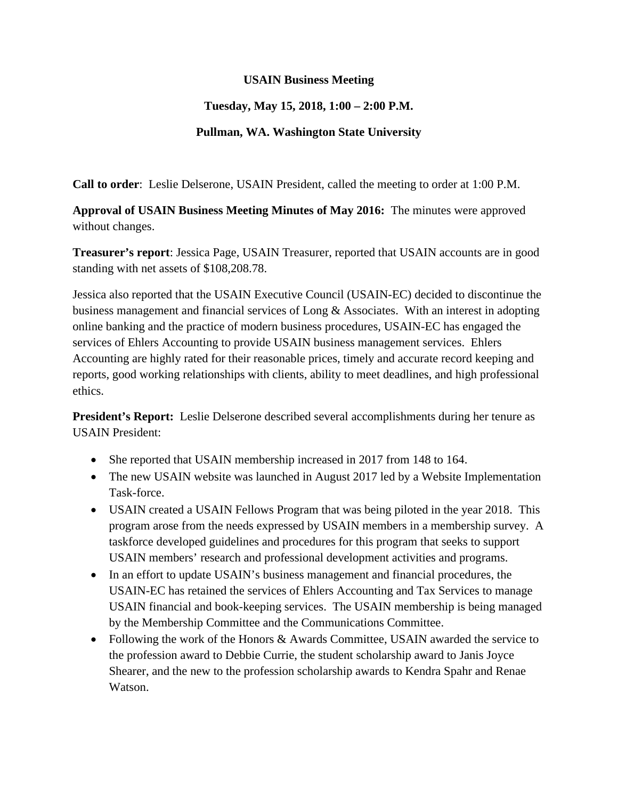## **USAIN Business Meeting**

## **Tuesday, May 15, 2018, 1:00 – 2:00 P.M.**

## **Pullman, WA. Washington State University**

**Call to order**: Leslie Delserone, USAIN President, called the meeting to order at 1:00 P.M.

**Approval of USAIN Business Meeting Minutes of May 2016:** The minutes were approved without changes.

**Treasurer's report**: Jessica Page, USAIN Treasurer, reported that USAIN accounts are in good standing with net assets of \$108,208.78.

Jessica also reported that the USAIN Executive Council (USAIN-EC) decided to discontinue the business management and financial services of Long & Associates. With an interest in adopting online banking and the practice of modern business procedures, USAIN-EC has engaged the services of Ehlers Accounting to provide USAIN business management services. Ehlers Accounting are highly rated for their reasonable prices, timely and accurate record keeping and reports, good working relationships with clients, ability to meet deadlines, and high professional ethics.

**President's Report:** Leslie Delserone described several accomplishments during her tenure as USAIN President:

- She reported that USAIN membership increased in 2017 from 148 to 164.
- The new USAIN website was launched in August 2017 led by a Website Implementation Task-force.
- USAIN created a USAIN Fellows Program that was being piloted in the year 2018. This program arose from the needs expressed by USAIN members in a membership survey. A taskforce developed guidelines and procedures for this program that seeks to support USAIN members' research and professional development activities and programs.
- In an effort to update USAIN's business management and financial procedures, the USAIN-EC has retained the services of Ehlers Accounting and Tax Services to manage USAIN financial and book-keeping services. The USAIN membership is being managed by the Membership Committee and the Communications Committee.
- Following the work of the Honors & Awards Committee, USAIN awarded the service to the profession award to Debbie Currie, the student scholarship award to Janis Joyce Shearer, and the new to the profession scholarship awards to Kendra Spahr and Renae Watson.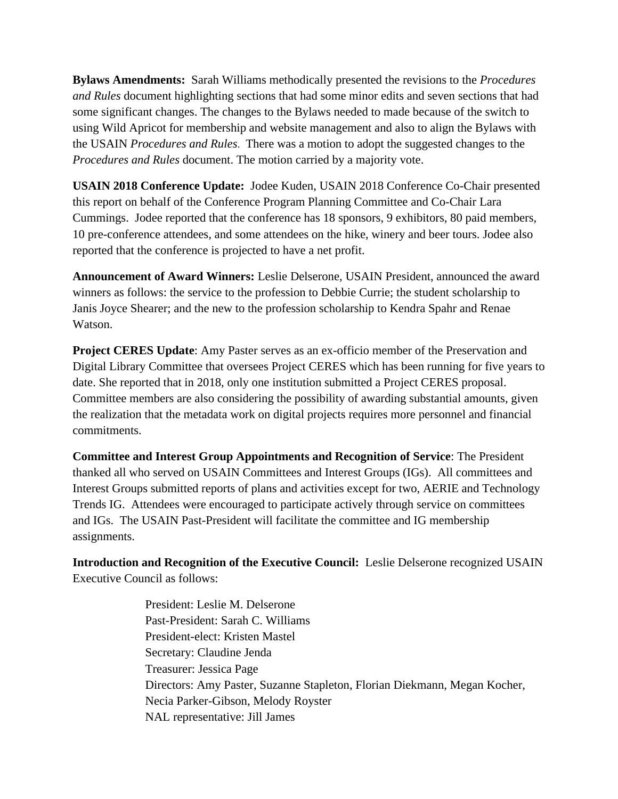**Bylaws Amendments:** Sarah Williams methodically presented the revisions to the *Procedures and Rules* document highlighting sections that had some minor edits and seven sections that had some significant changes. The changes to the Bylaws needed to made because of the switch to using Wild Apricot for membership and website management and also to align the Bylaws with the USAIN *Procedures and Rules*. There was a motion to adopt the suggested changes to the *Procedures and Rules* document. The motion carried by a majority vote.

**USAIN 2018 Conference Update:** Jodee Kuden, USAIN 2018 Conference Co-Chair presented this report on behalf of the Conference Program Planning Committee and Co-Chair Lara Cummings. Jodee reported that the conference has 18 sponsors, 9 exhibitors, 80 paid members, 10 pre-conference attendees, and some attendees on the hike, winery and beer tours. Jodee also reported that the conference is projected to have a net profit.

**Announcement of Award Winners:** Leslie Delserone, USAIN President, announced the award winners as follows: the service to the profession to Debbie Currie; the student scholarship to Janis Joyce Shearer; and the new to the profession scholarship to Kendra Spahr and Renae Watson.

**Project CERES Update**: Amy Paster serves as an ex-officio member of the Preservation and Digital Library Committee that oversees Project CERES which has been running for five years to date. She reported that in 2018, only one institution submitted a Project CERES proposal. Committee members are also considering the possibility of awarding substantial amounts, given the realization that the metadata work on digital projects requires more personnel and financial commitments.

**Committee and Interest Group Appointments and Recognition of Service**: The President thanked all who served on USAIN Committees and Interest Groups (IGs). All committees and Interest Groups submitted reports of plans and activities except for two, AERIE and Technology Trends IG. Attendees were encouraged to participate actively through service on committees and IGs. The USAIN Past-President will facilitate the committee and IG membership assignments.

**Introduction and Recognition of the Executive Council:** Leslie Delserone recognized USAIN Executive Council as follows:

> President: Leslie M. Delserone Past-President: Sarah C. Williams President-elect: Kristen Mastel Secretary: Claudine Jenda Treasurer: Jessica Page Directors: Amy Paster, Suzanne Stapleton, Florian Diekmann, Megan Kocher, Necia Parker-Gibson, Melody Royster NAL representative: Jill James